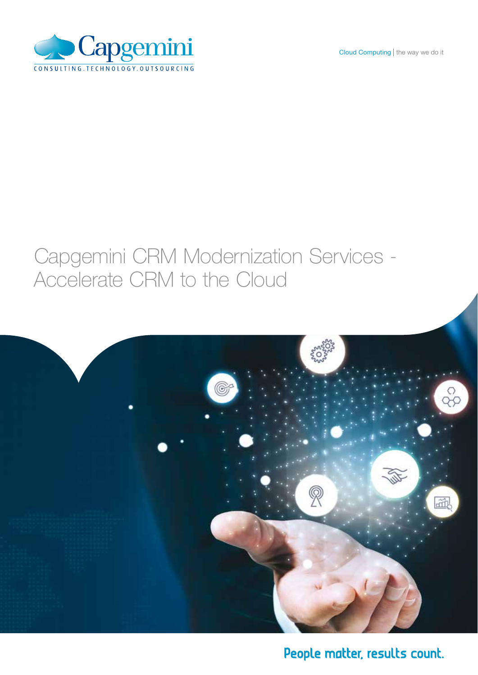



# Capgemini CRM Modernization Services - Accelerate CRM to the Cloud



# People matter, results count.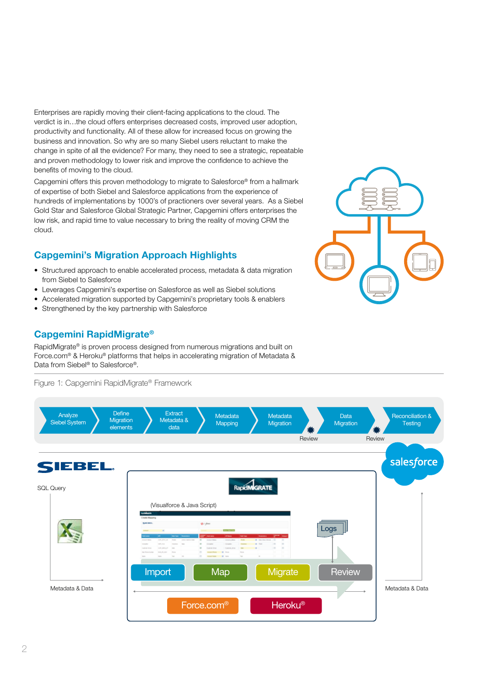Enterprises are rapidly moving their client-facing applications to the cloud. The verdict is in…the cloud offers enterprises decreased costs, improved user adoption, productivity and functionality. All of these allow for increased focus on growing the business and innovation. So why are so many Siebel users reluctant to make the change in spite of all the evidence? For many, they need to see a strategic, repeatable and proven methodology to lower risk and improve the confidence to achieve the benefits of moving to the cloud.

Capgemini offers this proven methodology to migrate to Salesforce® from a hallmark of expertise of both Siebel and Salesforce applications from the experience of hundreds of implementations by 1000's of practioners over several years. As a Siebel Gold Star and Salesforce Global Strategic Partner, Capgemini offers enterprises the low risk, and rapid time to value necessary to bring the reality of moving CRM the cloud.

## Capgemini's Migration Approach Highlights

- Structured approach to enable accelerated process, metadata & data migration from Siebel to Salesforce
- Leverages Capgemini's expertise on Salesforce as well as Siebel solutions
- Accelerated migration supported by Capgemini's proprietary tools & enablers
- Strengthened by the key partnership with Salesforce

### Capgemini RapidMigrate®

RapidMigrate® is proven process designed from numerous migrations and built on Force.com® & Heroku® platforms that helps in accelerating migration of Metadata & Data from Siebel® to Salesforce®.

Figure 1: Capgemini RapidMigrate® Framework



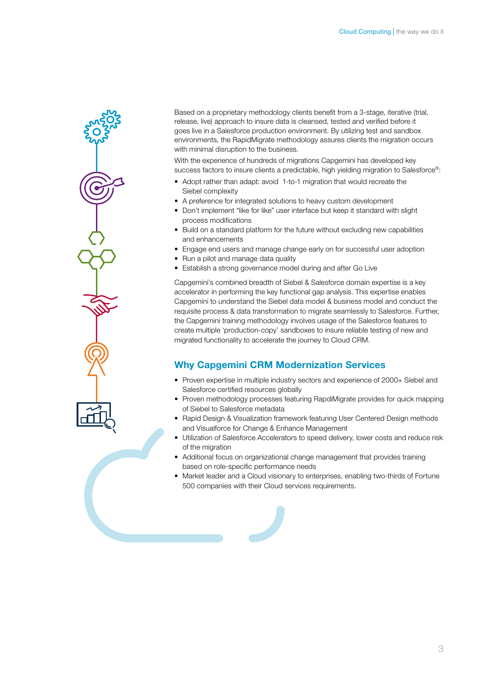

Based on a proprietary methodology clients benefit from a 3-stage, iterative (trial, release, live) approach to insure data is cleansed, tested and verified before it goes live in a Salesforce production environment. By utilizing test and sandbox environments, the RapidMigrate methodology assures clients the migration occurs with minimal disruption to the business.

With the experience of hundreds of migrations Capgemini has developed key success factors to insure clients a predictable, high yielding migration to Salesforce®:

- Adopt rather than adapt: avoid 1-to-1 migration that would recreate the Siebel complexity
- A preference for integrated solutions to heavy custom development
- Don't implement "like for like" user interface but keep it standard with slight process modifications
- Build on a standard platform for the future without excluding new capabilities and enhancements
- Engage end users and manage change early on for successful user adoption
- Run a pilot and manage data quality
- Establish a strong governance model during and after Go Live

Capgemini's combined breadth of Siebel & Salesforce domain expertise is a key accelerator in performing the key functional gap analysis. This expertise enables Capgemini to understand the Siebel data model & business model and conduct the requisite process & data transformation to migrate seamlessly to Salesforce. Further, the Capgemini training methodology involves usage of the Salesforce features to create multiple 'production-copy' sandboxes to insure reliable testing of new and migrated functionality to accelerate the journey to Cloud CRM.

#### Why Capgemini CRM Modernization Services

- Proven expertise in multiple industry sectors and experience of 2000+ Siebel and Salesforce certified resources globally
- Proven methodology processes featuring RapdiMigrate provides for quick mapping of Siebel to Salesforce metadata
- Rapid Design & Visualization framework featuring User Centered Design methods and Visualforce for Change & Enhance Management
- Utilization of Salesforce Accelerators to speed delivery, lower costs and reduce risk of the migration
- Additional focus on organizational change management that provides training based on role-specific performance needs
- Market leader and a Cloud visionary to enterprises, enabling two-thirds of Fortune 500 companies with their Cloud services requirements.